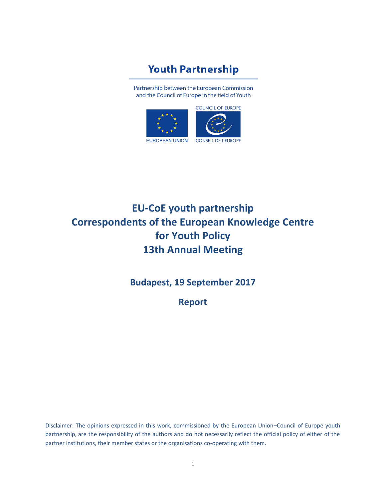## **Youth Partnership**

Partnership between the European Commission and the Council of Europe in the field of Youth



# **EU-CoE youth partnership Correspondents of the European Knowledge Centre for Youth Policy 13th Annual Meeting**

**Budapest, 19 September 2017**

**Report**

Disclaimer: The opinions expressed in this work, commissioned by the European Union–Council of Europe youth partnership, are the responsibility of the authors and do not necessarily reflect the official policy of either of the partner institutions, their member states or the organisations co-operating with them.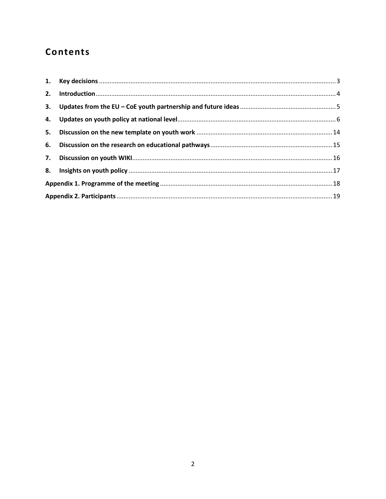## Contents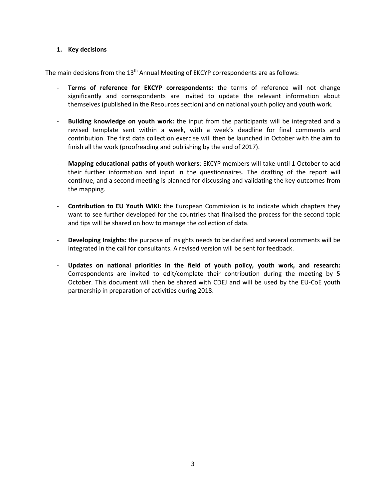#### <span id="page-2-0"></span>**1. Key decisions**

The main decisions from the  $13<sup>th</sup>$  Annual Meeting of EKCYP correspondents are as follows:

- **Terms of reference for EKCYP correspondents:** the terms of reference will not change significantly and correspondents are invited to update the relevant information about themselves (published in the Resources section) and on national youth policy and youth work.
- **Building knowledge on youth work:** the input from the participants will be integrated and a revised template sent within a week, with a week's deadline for final comments and contribution. The first data collection exercise will then be launched in October with the aim to finish all the work (proofreading and publishing by the end of 2017).
- **Mapping educational paths of youth workers**: EKCYP members will take until 1 October to add their further information and input in the questionnaires. The drafting of the report will continue, and a second meeting is planned for discussing and validating the key outcomes from the mapping.
- **Contribution to EU Youth WIKI:** the European Commission is to indicate which chapters they want to see further developed for the countries that finalised the process for the second topic and tips will be shared on how to manage the collection of data.
- **Developing Insights:** the purpose of insights needs to be clarified and several comments will be integrated in the call for consultants. A revised version will be sent for feedback.
- **Updates on national priorities in the field of youth policy, youth work, and research:**  Correspondents are invited to edit/complete their contribution during the meeting by 5 October. This document will then be shared with CDEJ and will be used by the EU-CoE youth partnership in preparation of activities during 2018.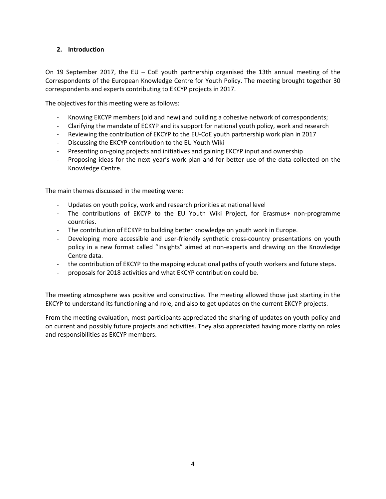#### <span id="page-3-0"></span>**2. Introduction**

On 19 September 2017, the EU – CoE youth partnership organised the 13th annual meeting of the Correspondents of the European Knowledge Centre for Youth Policy. The meeting brought together 30 correspondents and experts contributing to EKCYP projects in 2017.

The objectives for this meeting were as follows:

- Knowing EKCYP members (old and new) and building a cohesive network of correspondents;
- Clarifying the mandate of ECKYP and its support for national youth policy, work and research
- Reviewing the contribution of EKCYP to the EU-CoE youth partnership work plan in 2017
- Discussing the EKCYP contribution to the EU Youth Wiki
- Presenting on-going projects and initiatives and gaining EKCYP input and ownership
- Proposing ideas for the next year's work plan and for better use of the data collected on the Knowledge Centre.

The main themes discussed in the meeting were:

- Updates on youth policy, work and research priorities at national level
- The contributions of EKCYP to the EU Youth Wiki Project, for Erasmus+ non-programme countries.
- The contribution of ECKYP to building better knowledge on youth work in Europe.
- Developing more accessible and user-friendly synthetic cross-country presentations on youth policy in a new format called "Insights" aimed at non-experts and drawing on the Knowledge Centre data.
- the contribution of EKCYP to the mapping educational paths of youth workers and future steps.
- proposals for 2018 activities and what EKCYP contribution could be.

The meeting atmosphere was positive and constructive. The meeting allowed those just starting in the EKCYP to understand its functioning and role, and also to get updates on the current EKCYP projects.

From the meeting evaluation, most participants appreciated the sharing of updates on youth policy and on current and possibly future projects and activities. They also appreciated having more clarity on roles and responsibilities as EKCYP members.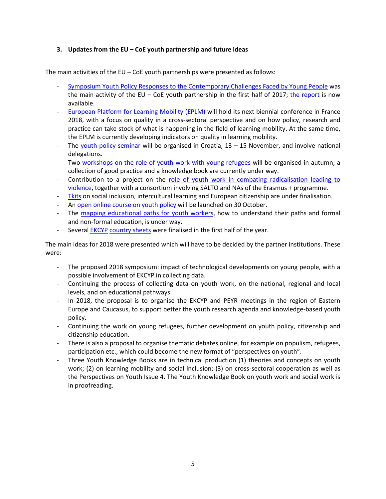#### <span id="page-4-0"></span>**3. Updates from the EU – CoE youth partnership and future ideas**

The main activities of the EU – CoE youth partnerships were presented as follows:

- [Symposium Youth Policy Responses to the Contemporary Challenges Faced by Young People](http://pjp-eu.coe.int/en/web/youth-partnership/symposium) was the main activity of the EU – CoE youth partnership in the first half of 2017; [the report](http://pjp-eu.coe.int/documents/1017981/9907025/Symposium+2017+-+Report.pdf/c855dce0-2bf9-ffae-8bf7-be1fcf31d0eb) is now available.
- [European Platform for Learning Mobility \(EPLM\)](http://pjp-eu.coe.int/en/web/youth-partnership/european-platform-on-learning-mobility) will hold its next biennial conference in France 2018, with a focus on quality in a cross-sectoral perspective and on how policy, research and practice can take stock of what is happening in the field of learning mobility. At the same time, the EPLM is currently developing indicators on quality in learning mobility.
- The [youth policy seminar](http://pjp-eu.coe.int/en/web/youth-partnership/youth-policy-training-course) will be organised in Croatia,  $13 15$  November, and involve national delegations.
- Two [workshops on the role of youth work with young refugees](http://pjp-eu.coe.int/en/web/youth-partnership/refugees-workshops) will be organised in autumn, a collection of good practice and a knowledge book are currently under way.
- Contribution to a project on the [role of youth work in combating radicalisation leading to](http://pjp-eu.coe.int/en/web/youth-partnership/youth-work-against-radicalisation)  [violence,](http://pjp-eu.coe.int/en/web/youth-partnership/youth-work-against-radicalisation) together with a consortium involving SALTO and NAs of the Erasmus + programme.
- [Tkits](http://pjp-eu.coe.int/en/web/youth-partnership/t-kits) on social inclusion, intercultural learning and European citizenship are under finalisation.
- A[n open online course on youth policy](http://pjp-eu.coe.int/en/web/youth-partnership/online-course-on-youth-policy) will be launched on 30 October.
- The [mapping educational paths for youth workers,](http://pjp-eu.coe.int/en/web/youth-partnership/expert-group-mapping-educational-paths) how to understand their paths and formal and non-formal education, is under way.
- Several [EKCYP](http://pjp-eu.coe.int/en/web/youth-partnership/knowledge-/-ekcyp) [country sheets](http://pjp-eu.coe.int/en/web/youth-partnership/new-online-resources) were finalised in the first half of the year.

The main ideas for 2018 were presented which will have to be decided by the partner institutions. These were:

- The proposed 2018 symposium: impact of technological developments on young people, with a possible involvement of EKCYP in collecting data.
- Continuing the process of collecting data on youth work, on the national, regional and local levels, and on educational pathways.
- In 2018, the proposal is to organise the EKCYP and PEYR meetings in the region of Eastern Europe and Caucasus, to support better the youth research agenda and knowledge-based youth policy.
- Continuing the work on young refugees, further development on youth policy, citizenship and citizenship education.
- There is also a proposal to organise thematic debates online, for example on populism, refugees, participation etc., which could become the new format of "perspectives on youth".
- Three Youth Knowledge Books are in technical production (1) theories and concepts on youth work; (2) on learning mobility and social inclusion; (3) on cross-sectoral cooperation as well as the Perspectives on Youth Issue 4. The Youth Knowledge Book on youth work and social work is in proofreading.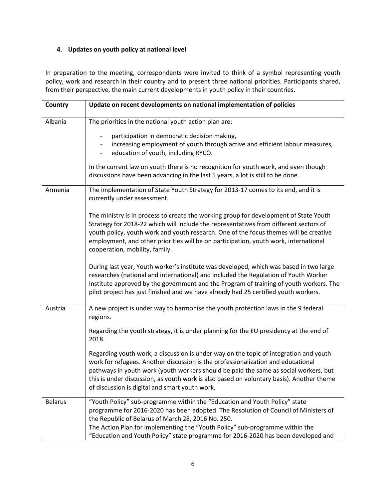#### <span id="page-5-0"></span>**4. Updates on youth policy at national level**

In preparation to the meeting, correspondents were invited to think of a symbol representing youth policy, work and research in their country and to present three national priorities. Participants shared, from their perspective, the main current developments in youth policy in their countries.

| Country        | Update on recent developments on national implementation of policies                                                                                                                                                                                                                                                                                                                                            |  |
|----------------|-----------------------------------------------------------------------------------------------------------------------------------------------------------------------------------------------------------------------------------------------------------------------------------------------------------------------------------------------------------------------------------------------------------------|--|
| Albania        | The priorities in the national youth action plan are:<br>participation in democratic decision making,<br>increasing employment of youth through active and efficient labour measures,<br>education of youth, including RYCO.<br>$\overline{\phantom{a}}$                                                                                                                                                        |  |
|                | In the current law on youth there is no recognition for youth work, and even though<br>discussions have been advancing in the last 5 years, a lot is still to be done.                                                                                                                                                                                                                                          |  |
| Armenia        | The implementation of State Youth Strategy for 2013-17 comes to its end, and it is<br>currently under assessment.                                                                                                                                                                                                                                                                                               |  |
|                | The ministry is in process to create the working group for development of State Youth<br>Strategy for 2018-22 which will include the representatives from different sectors of<br>youth policy, youth work and youth research. One of the focus themes will be creative<br>employment, and other priorities will be on participation, youth work, international<br>cooperation, mobility, family.               |  |
|                | During last year, Youth worker's institute was developed, which was based in two large<br>researches (national and international) and included the Regulation of Youth Worker<br>Institute approved by the government and the Program of training of youth workers. The<br>pilot project has just finished and we have already had 25 certified youth workers.                                                  |  |
| Austria        | A new project is under way to harmonise the youth protection laws in the 9 federal<br>regions.                                                                                                                                                                                                                                                                                                                  |  |
|                | Regarding the youth strategy, it is under planning for the EU presidency at the end of<br>2018.                                                                                                                                                                                                                                                                                                                 |  |
|                | Regarding youth work, a discussion is under way on the topic of integration and youth<br>work for refugees. Another discussion is the professionalization and educational<br>pathways in youth work (youth workers should be paid the same as social workers, but<br>this is under discussion, as youth work is also based on voluntary basis). Another theme<br>of discussion is digital and smart youth work. |  |
| <b>Belarus</b> | "Youth Policy" sub-programme within the "Education and Youth Policy" state<br>programme for 2016-2020 has been adopted. The Resolution of Council of Ministers of<br>the Republic of Belarus of March 28, 2016 No. 250.<br>The Action Plan for implementing the "Youth Policy" sub-programme within the<br>"Education and Youth Policy" state programme for 2016-2020 has been developed and                    |  |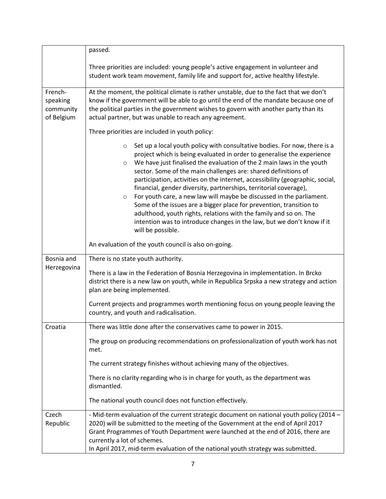|                                                                                 | passed.                                                                                                                                                                                                                                                                                                                                                                                                                                                                                                                                                                                                                                                                                                                                                                                                  |  |  |  |
|---------------------------------------------------------------------------------|----------------------------------------------------------------------------------------------------------------------------------------------------------------------------------------------------------------------------------------------------------------------------------------------------------------------------------------------------------------------------------------------------------------------------------------------------------------------------------------------------------------------------------------------------------------------------------------------------------------------------------------------------------------------------------------------------------------------------------------------------------------------------------------------------------|--|--|--|
|                                                                                 | Three priorities are included: young people's active engagement in volunteer and<br>student work team movement, family life and support for, active healthy lifestyle.                                                                                                                                                                                                                                                                                                                                                                                                                                                                                                                                                                                                                                   |  |  |  |
| French-<br>speaking<br>community<br>of Belgium                                  | At the moment, the political climate is rather unstable, due to the fact that we don't<br>know if the government will be able to go until the end of the mandate because one of<br>the political parties in the government wishes to govern with another party than its<br>actual partner, but was unable to reach any agreement.                                                                                                                                                                                                                                                                                                                                                                                                                                                                        |  |  |  |
|                                                                                 | Three priorities are included in youth policy:                                                                                                                                                                                                                                                                                                                                                                                                                                                                                                                                                                                                                                                                                                                                                           |  |  |  |
|                                                                                 | Set up a local youth policy with consultative bodies. For now, there is a<br>$\circ$<br>project which is being evaluated in order to generalise the experience<br>We have just finalised the evaluation of the 2 main laws in the youth<br>$\circ$<br>sector. Some of the main challenges are: shared definitions of<br>participation, activities on the internet, accessibility (geographic, social,<br>financial, gender diversity, partnerships, territorial coverage),<br>For youth care, a new law will maybe be discussed in the parliament.<br>$\circ$<br>Some of the issues are a bigger place for prevention, transition to<br>adulthood, youth rights, relations with the family and so on. The<br>intention was to introduce changes in the law, but we don't know if it<br>will be possible. |  |  |  |
|                                                                                 | An evaluation of the youth council is also on-going.                                                                                                                                                                                                                                                                                                                                                                                                                                                                                                                                                                                                                                                                                                                                                     |  |  |  |
| Bosnia and                                                                      | There is no state youth authority.                                                                                                                                                                                                                                                                                                                                                                                                                                                                                                                                                                                                                                                                                                                                                                       |  |  |  |
| Herzegovina                                                                     | There is a law in the Federation of Bosnia Herzegovina in implementation. In Brcko<br>district there is a new law on youth, while in Republica Srpska a new strategy and action<br>plan are being implemented.                                                                                                                                                                                                                                                                                                                                                                                                                                                                                                                                                                                           |  |  |  |
|                                                                                 | Current projects and programmes worth mentioning focus on young people leaving the<br>country, and youth and radicalisation.                                                                                                                                                                                                                                                                                                                                                                                                                                                                                                                                                                                                                                                                             |  |  |  |
| There was little done after the conservatives came to power in 2015.<br>Croatia |                                                                                                                                                                                                                                                                                                                                                                                                                                                                                                                                                                                                                                                                                                                                                                                                          |  |  |  |
|                                                                                 | The group on producing recommendations on professionalization of youth work has not<br>met.                                                                                                                                                                                                                                                                                                                                                                                                                                                                                                                                                                                                                                                                                                              |  |  |  |
|                                                                                 | The current strategy finishes without achieving many of the objectives.                                                                                                                                                                                                                                                                                                                                                                                                                                                                                                                                                                                                                                                                                                                                  |  |  |  |
|                                                                                 | There is no clarity regarding who is in charge for youth, as the department was<br>dismantled.                                                                                                                                                                                                                                                                                                                                                                                                                                                                                                                                                                                                                                                                                                           |  |  |  |
|                                                                                 | The national youth council does not function effectively.                                                                                                                                                                                                                                                                                                                                                                                                                                                                                                                                                                                                                                                                                                                                                |  |  |  |
| Czech<br>Republic                                                               | - Mid-term evaluation of the current strategic document on national youth policy (2014 -<br>2020) will be submitted to the meeting of the Government at the end of April 2017<br>Grant Programmes of Youth Department were launched at the end of 2016, there are<br>currently a lot of schemes.<br>In April 2017, mid-term evaluation of the national youth strategy was submitted.                                                                                                                                                                                                                                                                                                                                                                                                                     |  |  |  |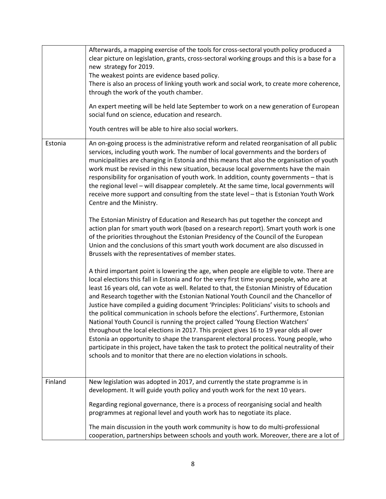|         | Afterwards, a mapping exercise of the tools for cross-sectoral youth policy produced a<br>clear picture on legislation, grants, cross-sectoral working groups and this is a base for a<br>new strategy for 2019.<br>The weakest points are evidence based policy.<br>There is also an process of linking youth work and social work, to create more coherence,<br>through the work of the youth chamber.<br>An expert meeting will be held late September to work on a new generation of European<br>social fund on science, education and research.<br>Youth centres will be able to hire also social workers.                                                                                                                                                                                                                                                                                                                                                                                                                                                                                                                                                                                                                                                                                                                                                                                                                                                                                                                                                                                                                                                                                                                                                                                                                                                                                                                                                                                                                                                                                                      |
|---------|----------------------------------------------------------------------------------------------------------------------------------------------------------------------------------------------------------------------------------------------------------------------------------------------------------------------------------------------------------------------------------------------------------------------------------------------------------------------------------------------------------------------------------------------------------------------------------------------------------------------------------------------------------------------------------------------------------------------------------------------------------------------------------------------------------------------------------------------------------------------------------------------------------------------------------------------------------------------------------------------------------------------------------------------------------------------------------------------------------------------------------------------------------------------------------------------------------------------------------------------------------------------------------------------------------------------------------------------------------------------------------------------------------------------------------------------------------------------------------------------------------------------------------------------------------------------------------------------------------------------------------------------------------------------------------------------------------------------------------------------------------------------------------------------------------------------------------------------------------------------------------------------------------------------------------------------------------------------------------------------------------------------------------------------------------------------------------------------------------------------|
|         |                                                                                                                                                                                                                                                                                                                                                                                                                                                                                                                                                                                                                                                                                                                                                                                                                                                                                                                                                                                                                                                                                                                                                                                                                                                                                                                                                                                                                                                                                                                                                                                                                                                                                                                                                                                                                                                                                                                                                                                                                                                                                                                      |
| Estonia | An on-going process is the administrative reform and related reorganisation of all public<br>services, including youth work. The number of local governments and the borders of<br>municipalities are changing in Estonia and this means that also the organisation of youth<br>work must be revised in this new situation, because local governments have the main<br>responsibility for organisation of youth work. In addition, county governments - that is<br>the regional level - will disappear completely. At the same time, local governments will<br>receive more support and consulting from the state level - that is Estonian Youth Work<br>Centre and the Ministry.<br>The Estonian Ministry of Education and Research has put together the concept and<br>action plan for smart youth work (based on a research report). Smart youth work is one<br>of the priorities throughout the Estonian Presidency of the Council of the European<br>Union and the conclusions of this smart youth work document are also discussed in<br>Brussels with the representatives of member states.<br>A third important point is lowering the age, when people are eligible to vote. There are<br>local elections this fall in Estonia and for the very first time young people, who are at<br>least 16 years old, can vote as well. Related to that, the Estonian Ministry of Education<br>and Research together with the Estonian National Youth Council and the Chancellor of<br>Justice have compiled a guiding document 'Principles: Politicians' visits to schools and<br>the political communication in schools before the elections'. Furthermore, Estonian<br>National Youth Council is running the project called 'Young Election Watchers'<br>throughout the local elections in 2017. This project gives 16 to 19 year olds all over<br>Estonia an opportunity to shape the transparent electoral process. Young people, who<br>participate in this project, have taken the task to protect the political neutrality of their<br>schools and to monitor that there are no election violations in schools. |
|         |                                                                                                                                                                                                                                                                                                                                                                                                                                                                                                                                                                                                                                                                                                                                                                                                                                                                                                                                                                                                                                                                                                                                                                                                                                                                                                                                                                                                                                                                                                                                                                                                                                                                                                                                                                                                                                                                                                                                                                                                                                                                                                                      |
| Finland | New legislation was adopted in 2017, and currently the state programme is in                                                                                                                                                                                                                                                                                                                                                                                                                                                                                                                                                                                                                                                                                                                                                                                                                                                                                                                                                                                                                                                                                                                                                                                                                                                                                                                                                                                                                                                                                                                                                                                                                                                                                                                                                                                                                                                                                                                                                                                                                                         |
|         | development. It will guide youth policy and youth work for the next 10 years.                                                                                                                                                                                                                                                                                                                                                                                                                                                                                                                                                                                                                                                                                                                                                                                                                                                                                                                                                                                                                                                                                                                                                                                                                                                                                                                                                                                                                                                                                                                                                                                                                                                                                                                                                                                                                                                                                                                                                                                                                                        |
|         | Regarding regional governance, there is a process of reorganising social and health<br>programmes at regional level and youth work has to negotiate its place.                                                                                                                                                                                                                                                                                                                                                                                                                                                                                                                                                                                                                                                                                                                                                                                                                                                                                                                                                                                                                                                                                                                                                                                                                                                                                                                                                                                                                                                                                                                                                                                                                                                                                                                                                                                                                                                                                                                                                       |
|         | The main discussion in the youth work community is how to do multi-professional<br>cooperation, partnerships between schools and youth work. Moreover, there are a lot of                                                                                                                                                                                                                                                                                                                                                                                                                                                                                                                                                                                                                                                                                                                                                                                                                                                                                                                                                                                                                                                                                                                                                                                                                                                                                                                                                                                                                                                                                                                                                                                                                                                                                                                                                                                                                                                                                                                                            |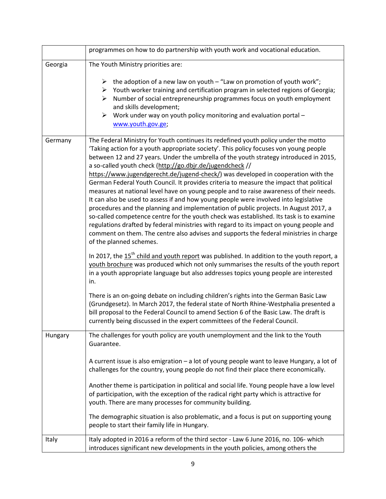|         | programmes on how to do partnership with youth work and vocational education.                                                                                                                                                                                                                                                                                                                                                                                                                                                                                                                                                                                                                                                                                                                                                                                                                                                                                                                                                                                                                           |  |  |
|---------|---------------------------------------------------------------------------------------------------------------------------------------------------------------------------------------------------------------------------------------------------------------------------------------------------------------------------------------------------------------------------------------------------------------------------------------------------------------------------------------------------------------------------------------------------------------------------------------------------------------------------------------------------------------------------------------------------------------------------------------------------------------------------------------------------------------------------------------------------------------------------------------------------------------------------------------------------------------------------------------------------------------------------------------------------------------------------------------------------------|--|--|
| Georgia | The Youth Ministry priorities are:                                                                                                                                                                                                                                                                                                                                                                                                                                                                                                                                                                                                                                                                                                                                                                                                                                                                                                                                                                                                                                                                      |  |  |
|         | $\triangleright$ the adoption of a new law on youth – "Law on promotion of youth work";<br>$\triangleright$ Youth worker training and certification program in selected regions of Georgia;<br>Number of social entrepreneurship programmes focus on youth employment<br>≻<br>and skills development;<br>Work under way on youth policy monitoring and evaluation portal -<br>➤<br>www.youth.gov.ge;                                                                                                                                                                                                                                                                                                                                                                                                                                                                                                                                                                                                                                                                                                    |  |  |
| Germany | The Federal Ministry for Youth continues its redefined youth policy under the motto<br>'Taking action for a youth appropriate society'. This policy focuses von young people<br>between 12 and 27 years. Under the umbrella of the youth strategy introduced in 2015,<br>a so-called youth check (http://go.dbjr.de/jugendcheck //<br>https://www.jugendgerecht.de/jugend-check/) was developed in cooperation with the<br>German Federal Youth Council. It provides criteria to measure the impact that political<br>measures at national level have on young people and to raise awareness of their needs.<br>It can also be used to assess if and how young people were involved into legislative<br>procedures and the planning and implementation of public projects. In August 2017, a<br>so-called competence centre for the youth check was established. Its task is to examine<br>regulations drafted by federal ministries with regard to its impact on young people and<br>comment on them. The centre also advises and supports the federal ministries in charge<br>of the planned schemes. |  |  |
|         | In 2017, the $15th$ child and youth report was published. In addition to the youth report, a<br>youth brochure was produced which not only summarises the results of the youth report<br>in a youth appropriate language but also addresses topics young people are interested<br>in.                                                                                                                                                                                                                                                                                                                                                                                                                                                                                                                                                                                                                                                                                                                                                                                                                   |  |  |
|         | There is an on-going debate on including children's rights into the German Basic Law<br>(Grundgesetz). In March 2017, the federal state of North Rhine-Westphalia presented a<br>bill proposal to the Federal Council to amend Section 6 of the Basic Law. The draft is<br>currently being discussed in the expert committees of the Federal Council.                                                                                                                                                                                                                                                                                                                                                                                                                                                                                                                                                                                                                                                                                                                                                   |  |  |
| Hungary | The challenges for youth policy are youth unemployment and the link to the Youth<br>Guarantee.                                                                                                                                                                                                                                                                                                                                                                                                                                                                                                                                                                                                                                                                                                                                                                                                                                                                                                                                                                                                          |  |  |
|         | A current issue is also emigration - a lot of young people want to leave Hungary, a lot of<br>challenges for the country, young people do not find their place there economically.                                                                                                                                                                                                                                                                                                                                                                                                                                                                                                                                                                                                                                                                                                                                                                                                                                                                                                                      |  |  |
|         | Another theme is participation in political and social life. Young people have a low level<br>of participation, with the exception of the radical right party which is attractive for<br>youth. There are many processes for community building.                                                                                                                                                                                                                                                                                                                                                                                                                                                                                                                                                                                                                                                                                                                                                                                                                                                        |  |  |
|         | The demographic situation is also problematic, and a focus is put on supporting young<br>people to start their family life in Hungary.                                                                                                                                                                                                                                                                                                                                                                                                                                                                                                                                                                                                                                                                                                                                                                                                                                                                                                                                                                  |  |  |
| Italy   | Italy adopted in 2016 a reform of the third sector - Law 6 June 2016, no. 106- which<br>introduces significant new developments in the youth policies, among others the                                                                                                                                                                                                                                                                                                                                                                                                                                                                                                                                                                                                                                                                                                                                                                                                                                                                                                                                 |  |  |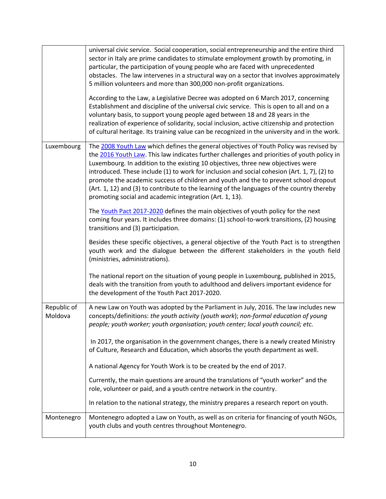|                                                                                                                                                                                                                                                                                                                                                                                                                                                                                                                                                                                                                                         | universal civic service. Social cooperation, social entrepreneurship and the entire third<br>sector in Italy are prime candidates to stimulate employment growth by promoting, in<br>particular, the participation of young people who are faced with unprecedented<br>obstacles. The law intervenes in a structural way on a sector that involves approximately<br>5 million volunteers and more than 300,000 non-profit organizations.<br>According to the Law, a Legislative Decree was adopted on 6 March 2017, concerning<br>Establishment and discipline of the universal civic service. This is open to all and on a<br>voluntary basis, to support young people aged between 18 and 28 years in the<br>realization of experience of solidarity, social inclusion, active citizenship and protection<br>of cultural heritage. Its training value can be recognized in the university and in the work. |  |  |
|-----------------------------------------------------------------------------------------------------------------------------------------------------------------------------------------------------------------------------------------------------------------------------------------------------------------------------------------------------------------------------------------------------------------------------------------------------------------------------------------------------------------------------------------------------------------------------------------------------------------------------------------|--------------------------------------------------------------------------------------------------------------------------------------------------------------------------------------------------------------------------------------------------------------------------------------------------------------------------------------------------------------------------------------------------------------------------------------------------------------------------------------------------------------------------------------------------------------------------------------------------------------------------------------------------------------------------------------------------------------------------------------------------------------------------------------------------------------------------------------------------------------------------------------------------------------|--|--|
| The 2008 Youth Law which defines the general objectives of Youth Policy was revised by<br>Luxembourg<br>the 2016 Youth Law. This law indicates further challenges and priorities of youth policy in<br>Luxembourg. In addition to the existing 10 objectives, three new objectives were<br>introduced. These include (1) to work for inclusion and social cohesion (Art. 1, 7), (2) to<br>promote the academic success of children and youth and the to prevent school dropout<br>(Art. 1, 12) and (3) to contribute to the learning of the languages of the country thereby<br>promoting social and academic integration (Art. 1, 13). |                                                                                                                                                                                                                                                                                                                                                                                                                                                                                                                                                                                                                                                                                                                                                                                                                                                                                                              |  |  |
|                                                                                                                                                                                                                                                                                                                                                                                                                                                                                                                                                                                                                                         | The Youth Pact 2017-2020 defines the main objectives of youth policy for the next<br>coming four years. It includes three domains: (1) school-to-work transitions, (2) housing<br>transitions and (3) participation.                                                                                                                                                                                                                                                                                                                                                                                                                                                                                                                                                                                                                                                                                         |  |  |
|                                                                                                                                                                                                                                                                                                                                                                                                                                                                                                                                                                                                                                         | Besides these specific objectives, a general objective of the Youth Pact is to strengthen<br>youth work and the dialogue between the different stakeholders in the youth field<br>(ministries, administrations).                                                                                                                                                                                                                                                                                                                                                                                                                                                                                                                                                                                                                                                                                             |  |  |
|                                                                                                                                                                                                                                                                                                                                                                                                                                                                                                                                                                                                                                         | The national report on the situation of young people in Luxembourg, published in 2015,<br>deals with the transition from youth to adulthood and delivers important evidence for<br>the development of the Youth Pact 2017-2020.                                                                                                                                                                                                                                                                                                                                                                                                                                                                                                                                                                                                                                                                              |  |  |
| Republic of<br>Moldova                                                                                                                                                                                                                                                                                                                                                                                                                                                                                                                                                                                                                  | A new Law on Youth was adopted by the Parliament in July, 2016. The law includes new<br>concepts/definitions: the youth activity (youth work); non-formal education of young<br>people; youth worker; youth organisation; youth center; local youth council; etc.                                                                                                                                                                                                                                                                                                                                                                                                                                                                                                                                                                                                                                            |  |  |
|                                                                                                                                                                                                                                                                                                                                                                                                                                                                                                                                                                                                                                         | In 2017, the organisation in the government changes, there is a newly created Ministry<br>of Culture, Research and Education, which absorbs the youth department as well.                                                                                                                                                                                                                                                                                                                                                                                                                                                                                                                                                                                                                                                                                                                                    |  |  |
|                                                                                                                                                                                                                                                                                                                                                                                                                                                                                                                                                                                                                                         | A national Agency for Youth Work is to be created by the end of 2017.                                                                                                                                                                                                                                                                                                                                                                                                                                                                                                                                                                                                                                                                                                                                                                                                                                        |  |  |
|                                                                                                                                                                                                                                                                                                                                                                                                                                                                                                                                                                                                                                         | Currently, the main questions are around the translations of "youth worker" and the<br>role, volunteer or paid, and a youth centre network in the country.                                                                                                                                                                                                                                                                                                                                                                                                                                                                                                                                                                                                                                                                                                                                                   |  |  |
|                                                                                                                                                                                                                                                                                                                                                                                                                                                                                                                                                                                                                                         | In relation to the national strategy, the ministry prepares a research report on youth.                                                                                                                                                                                                                                                                                                                                                                                                                                                                                                                                                                                                                                                                                                                                                                                                                      |  |  |
| Montenegro                                                                                                                                                                                                                                                                                                                                                                                                                                                                                                                                                                                                                              | Montenegro adopted a Law on Youth, as well as on criteria for financing of youth NGOs,<br>youth clubs and youth centres throughout Montenegro.                                                                                                                                                                                                                                                                                                                                                                                                                                                                                                                                                                                                                                                                                                                                                               |  |  |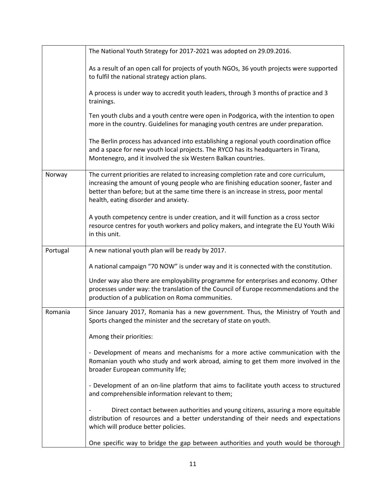|          | The National Youth Strategy for 2017-2021 was adopted on 29.09.2016.                                                                                                                                                                                                                                          |  |  |  |
|----------|---------------------------------------------------------------------------------------------------------------------------------------------------------------------------------------------------------------------------------------------------------------------------------------------------------------|--|--|--|
|          | As a result of an open call for projects of youth NGOs, 36 youth projects were supported<br>to fulfil the national strategy action plans.                                                                                                                                                                     |  |  |  |
|          | A process is under way to accredit youth leaders, through 3 months of practice and 3<br>trainings.                                                                                                                                                                                                            |  |  |  |
|          | Ten youth clubs and a youth centre were open in Podgorica, with the intention to open<br>more in the country. Guidelines for managing youth centres are under preparation.                                                                                                                                    |  |  |  |
|          | The Berlin process has advanced into establishing a regional youth coordination office<br>and a space for new youth local projects. The RYCO has its headquarters in Tirana,<br>Montenegro, and it involved the six Western Balkan countries.                                                                 |  |  |  |
| Norway   | The current priorities are related to increasing completion rate and core curriculum,<br>increasing the amount of young people who are finishing education sooner, faster and<br>better than before; but at the same time there is an increase in stress, poor mental<br>health, eating disorder and anxiety. |  |  |  |
|          | A youth competency centre is under creation, and it will function as a cross sector<br>resource centres for youth workers and policy makers, and integrate the EU Youth Wiki<br>in this unit.                                                                                                                 |  |  |  |
|          | A new national youth plan will be ready by 2017.                                                                                                                                                                                                                                                              |  |  |  |
| Portugal |                                                                                                                                                                                                                                                                                                               |  |  |  |
|          | A national campaign "70 NOW" is under way and it is connected with the constitution.                                                                                                                                                                                                                          |  |  |  |
|          | Under way also there are employability programme for enterprises and economy. Other<br>processes under way: the translation of the Council of Europe recommendations and the<br>production of a publication on Roma communities.                                                                              |  |  |  |
| Romania  | Since January 2017, Romania has a new government. Thus, the Ministry of Youth and<br>Sports changed the minister and the secretary of state on youth.                                                                                                                                                         |  |  |  |
|          | Among their priorities:                                                                                                                                                                                                                                                                                       |  |  |  |
|          | - Development of means and mechanisms for a more active communication with the<br>Romanian youth who study and work abroad, aiming to get them more involved in the<br>broader European community life;                                                                                                       |  |  |  |
|          | - Development of an on-line platform that aims to facilitate youth access to structured<br>and comprehensible information relevant to them;                                                                                                                                                                   |  |  |  |
|          | Direct contact between authorities and young citizens, assuring a more equitable<br>distribution of resources and a better understanding of their needs and expectations<br>which will produce better policies.                                                                                               |  |  |  |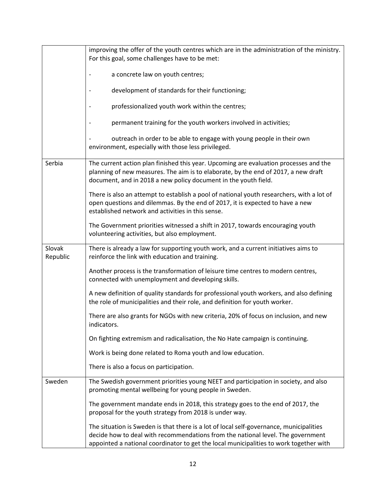|                    | improving the offer of the youth centres which are in the administration of the ministry.                                                                                                                                                                            |  |  |
|--------------------|----------------------------------------------------------------------------------------------------------------------------------------------------------------------------------------------------------------------------------------------------------------------|--|--|
|                    | For this goal, some challenges have to be met:                                                                                                                                                                                                                       |  |  |
|                    | a concrete law on youth centres;                                                                                                                                                                                                                                     |  |  |
|                    | development of standards for their functioning;                                                                                                                                                                                                                      |  |  |
|                    | professionalized youth work within the centres;                                                                                                                                                                                                                      |  |  |
|                    | permanent training for the youth workers involved in activities;                                                                                                                                                                                                     |  |  |
|                    | outreach in order to be able to engage with young people in their own<br>environment, especially with those less privileged.                                                                                                                                         |  |  |
| Serbia             | The current action plan finished this year. Upcoming are evaluation processes and the<br>planning of new measures. The aim is to elaborate, by the end of 2017, a new draft<br>document, and in 2018 a new policy document in the youth field.                       |  |  |
|                    | There is also an attempt to establish a pool of national youth researchers, with a lot of<br>open questions and dilemmas. By the end of 2017, it is expected to have a new<br>established network and activities in this sense.                                      |  |  |
|                    | The Government priorities witnessed a shift in 2017, towards encouraging youth<br>volunteering activities, but also employment.                                                                                                                                      |  |  |
| Slovak<br>Republic | There is already a law for supporting youth work, and a current initiatives aims to<br>reinforce the link with education and training.                                                                                                                               |  |  |
|                    | Another process is the transformation of leisure time centres to modern centres,<br>connected with unemployment and developing skills.                                                                                                                               |  |  |
|                    | A new definition of quality standards for professional youth workers, and also defining<br>the role of municipalities and their role, and definition for youth worker.                                                                                               |  |  |
|                    | There are also grants for NGOs with new criteria, 20% of focus on inclusion, and new<br>indicators.                                                                                                                                                                  |  |  |
|                    | On fighting extremism and radicalisation, the No Hate campaign is continuing.                                                                                                                                                                                        |  |  |
|                    | Work is being done related to Roma youth and low education.                                                                                                                                                                                                          |  |  |
|                    | There is also a focus on participation.                                                                                                                                                                                                                              |  |  |
| Sweden             | The Swedish government priorities young NEET and participation in society, and also<br>promoting mental wellbeing for young people in Sweden.                                                                                                                        |  |  |
|                    | The government mandate ends in 2018, this strategy goes to the end of 2017, the<br>proposal for the youth strategy from 2018 is under way.                                                                                                                           |  |  |
|                    | The situation is Sweden is that there is a lot of local self-governance, municipalities<br>decide how to deal with recommendations from the national level. The government<br>appointed a national coordinator to get the local municipalities to work together with |  |  |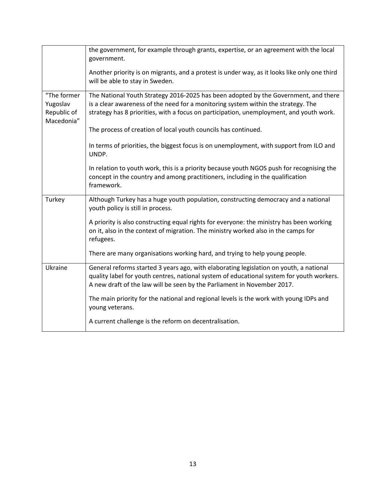|                                                      | the government, for example through grants, expertise, or an agreement with the local<br>government.                                                                                                                                                                |  |  |
|------------------------------------------------------|---------------------------------------------------------------------------------------------------------------------------------------------------------------------------------------------------------------------------------------------------------------------|--|--|
|                                                      | Another priority is on migrants, and a protest is under way, as it looks like only one third<br>will be able to stay in Sweden.                                                                                                                                     |  |  |
| "The former<br>Yugoslav<br>Republic of<br>Macedonia" | The National Youth Strategy 2016-2025 has been adopted by the Government, and there<br>is a clear awareness of the need for a monitoring system within the strategy. The<br>strategy has 8 priorities, with a focus on participation, unemployment, and youth work. |  |  |
|                                                      | The process of creation of local youth councils has continued.                                                                                                                                                                                                      |  |  |
|                                                      | In terms of priorities, the biggest focus is on unemployment, with support from ILO and<br>UNDP.                                                                                                                                                                    |  |  |
|                                                      | In relation to youth work, this is a priority because youth NGOS push for recognising the<br>concept in the country and among practitioners, including in the qualification<br>framework.                                                                           |  |  |
| Turkey                                               | Although Turkey has a huge youth population, constructing democracy and a national<br>youth policy is still in process.                                                                                                                                             |  |  |
|                                                      | A priority is also constructing equal rights for everyone: the ministry has been working<br>on it, also in the context of migration. The ministry worked also in the camps for<br>refugees.                                                                         |  |  |
|                                                      | There are many organisations working hard, and trying to help young people.                                                                                                                                                                                         |  |  |
| Ukraine                                              | General reforms started 3 years ago, with elaborating legislation on youth, a national<br>quality label for youth centres, national system of educational system for youth workers.<br>A new draft of the law will be seen by the Parliament in November 2017.      |  |  |
|                                                      | The main priority for the national and regional levels is the work with young IDPs and<br>young veterans.                                                                                                                                                           |  |  |
|                                                      | A current challenge is the reform on decentralisation.                                                                                                                                                                                                              |  |  |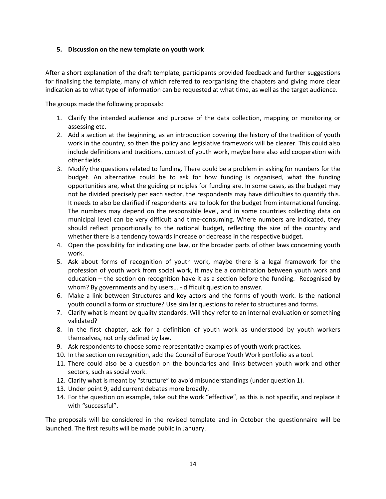#### <span id="page-13-0"></span>**5. Discussion on the new template on youth work**

After a short explanation of the draft template, participants provided feedback and further suggestions for finalising the template, many of which referred to reorganising the chapters and giving more clear indication as to what type of information can be requested at what time, as well as the target audience.

The groups made the following proposals:

- 1. Clarify the intended audience and purpose of the data collection, mapping or monitoring or assessing etc.
- 2. Add a section at the beginning, as an introduction covering the history of the tradition of youth work in the country, so then the policy and legislative framework will be clearer. This could also include definitions and traditions, context of youth work, maybe here also add cooperation with other fields.
- 3. Modify the questions related to funding. There could be a problem in asking for numbers for the budget. An alternative could be to ask for how funding is organised, what the funding opportunities are, what the guiding principles for funding are. In some cases, as the budget may not be divided precisely per each sector, the respondents may have difficulties to quantify this. It needs to also be clarified if respondents are to look for the budget from international funding. The numbers may depend on the responsible level, and in some countries collecting data on municipal level can be very difficult and time-consuming. Where numbers are indicated, they should reflect proportionally to the national budget, reflecting the size of the country and whether there is a tendency towards increase or decrease in the respective budget.
- 4. Open the possibility for indicating one law, or the broader parts of other laws concerning youth work.
- 5. Ask about forms of recognition of youth work, maybe there is a legal framework for the profession of youth work from social work, it may be a combination between youth work and education – the section on recognition have it as a section before the funding. Recognised by whom? By governments and by users… - difficult question to answer.
- 6. Make a link between Structures and key actors and the forms of youth work. Is the national youth council a form or structure? Use similar questions to refer to structures and forms.
- 7. Clarify what is meant by quality standards. Will they refer to an internal evaluation or something validated?
- 8. In the first chapter, ask for a definition of youth work as understood by youth workers themselves, not only defined by law.
- 9. Ask respondents to choose some representative examples of youth work practices.
- 10. In the section on recognition, add the Council of Europe Youth Work portfolio as a tool.
- 11. There could also be a question on the boundaries and links between youth work and other sectors, such as social work.
- 12. Clarify what is meant by "structure" to avoid misunderstandings (under question 1).
- 13. Under point 9, add current debates more broadly.
- 14. For the question on example, take out the work "effective", as this is not specific, and replace it with "successful".

The proposals will be considered in the revised template and in October the questionnaire will be launched. The first results will be made public in January.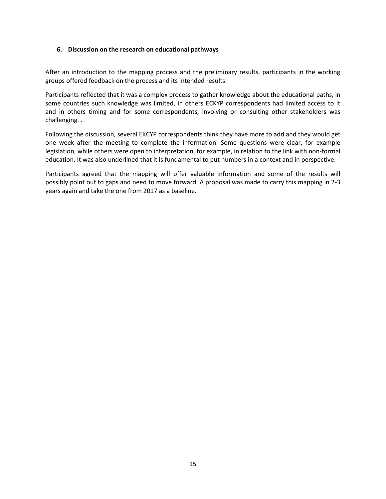#### <span id="page-14-0"></span>**6. Discussion on the research on educational pathways**

After an introduction to the mapping process and the preliminary results, participants in the working groups offered feedback on the process and its intended results.

Participants reflected that it was a complex process to gather knowledge about the educational paths, in some countries such knowledge was limited, in others ECKYP correspondents had limited access to it and in others timing and for some correspondents, involving or consulting other stakeholders was challenging. .

Following the discussion, several EKCYP correspondents think they have more to add and they would get one week after the meeting to complete the information. Some questions were clear, for example legislation, while others were open to interpretation, for example, in relation to the link with non-formal education. It was also underlined that it is fundamental to put numbers in a context and in perspective.

Participants agreed that the mapping will offer valuable information and some of the results will possibly point out to gaps and need to move forward. A proposal was made to carry this mapping in 2-3 years again and take the one from 2017 as a baseline.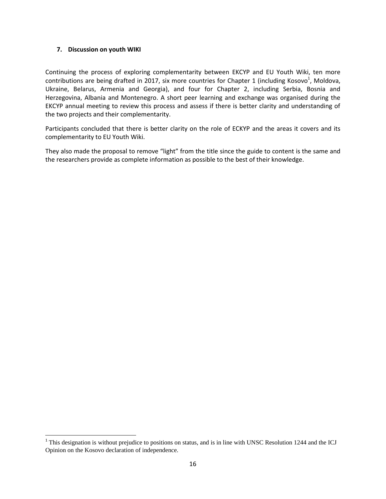#### <span id="page-15-0"></span>**7. Discussion on youth WIKI**

Continuing the process of exploring complementarity between EKCYP and EU Youth Wiki, ten more contributions are being drafted in 2017, six more countries for Chapter 1 (including Kosovo<sup>1</sup>, Moldova, Ukraine, Belarus, Armenia and Georgia), and four for Chapter 2, including Serbia, Bosnia and Herzegovina, Albania and Montenegro. A short peer learning and exchange was organised during the EKCYP annual meeting to review this process and assess if there is better clarity and understanding of the two projects and their complementarity.

Participants concluded that there is better clarity on the role of ECKYP and the areas it covers and its complementarity to EU Youth Wiki.

They also made the proposal to remove "light" from the title since the guide to content is the same and the researchers provide as complete information as possible to the best of their knowledge.

<sup>&</sup>lt;sup>1</sup>This designation is without prejudice to positions on status, and is in line with UNSC Resolution 1244 and the ICJ Opinion on the Kosovo declaration of independence.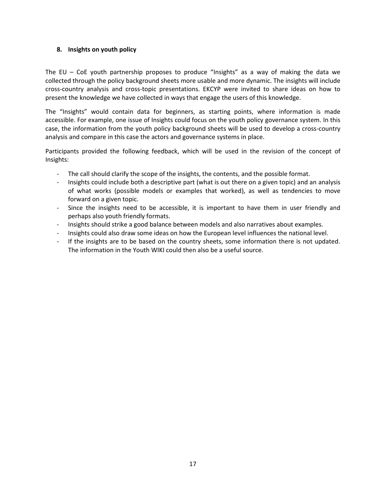#### <span id="page-16-0"></span>**8. Insights on youth policy**

The EU – CoE youth partnership proposes to produce "Insights" as a way of making the data we collected through the policy background sheets more usable and more dynamic. The insights will include cross-country analysis and cross-topic presentations. EKCYP were invited to share ideas on how to present the knowledge we have collected in ways that engage the users of this knowledge.

The "Insights" would contain data for beginners, as starting points, where information is made accessible. For example, one issue of Insights could focus on the youth policy governance system. In this case, the information from the youth policy background sheets will be used to develop a cross-country analysis and compare in this case the actors and governance systems in place.

Participants provided the following feedback, which will be used in the revision of the concept of Insights:

- The call should clarify the scope of the insights, the contents, and the possible format.
- Insights could include both a descriptive part (what is out there on a given topic) and an analysis of what works (possible models or examples that worked), as well as tendencies to move forward on a given topic.
- Since the insights need to be accessible, it is important to have them in user friendly and perhaps also youth friendly formats.
- Insights should strike a good balance between models and also narratives about examples.
- Insights could also draw some ideas on how the European level influences the national level.
- If the insights are to be based on the country sheets, some information there is not updated. The information in the Youth WIKI could then also be a useful source.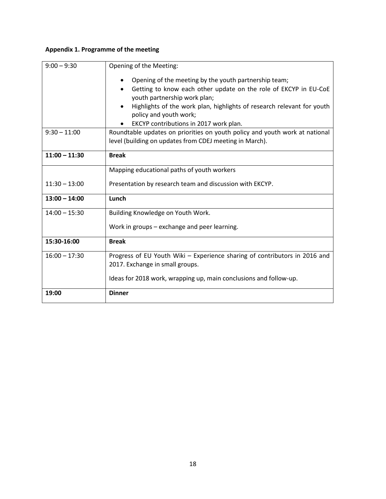### <span id="page-17-0"></span>**Appendix 1. Programme of the meeting**

| $9:00 - 9:30$   | Opening of the Meeting:                                                                                                                |  |  |
|-----------------|----------------------------------------------------------------------------------------------------------------------------------------|--|--|
|                 | Opening of the meeting by the youth partnership team;<br>Getting to know each other update on the role of EKCYP in EU-CoE              |  |  |
|                 | youth partnership work plan;                                                                                                           |  |  |
|                 | Highlights of the work plan, highlights of research relevant for youth<br>policy and youth work;                                       |  |  |
|                 | EKCYP contributions in 2017 work plan.                                                                                                 |  |  |
| $9:30 - 11:00$  | Roundtable updates on priorities on youth policy and youth work at national<br>level (building on updates from CDEJ meeting in March). |  |  |
| $11:00 - 11:30$ | <b>Break</b>                                                                                                                           |  |  |
|                 | Mapping educational paths of youth workers                                                                                             |  |  |
| $11:30 - 13:00$ | Presentation by research team and discussion with EKCYP.                                                                               |  |  |
| $13:00 - 14:00$ | Lunch                                                                                                                                  |  |  |
| $14:00 - 15:30$ | Building Knowledge on Youth Work.                                                                                                      |  |  |
|                 | Work in groups - exchange and peer learning.                                                                                           |  |  |
| 15:30-16:00     | <b>Break</b>                                                                                                                           |  |  |
| $16:00 - 17:30$ | Progress of EU Youth Wiki - Experience sharing of contributors in 2016 and<br>2017. Exchange in small groups.                          |  |  |
|                 | Ideas for 2018 work, wrapping up, main conclusions and follow-up.                                                                      |  |  |
| 19:00           | <b>Dinner</b>                                                                                                                          |  |  |